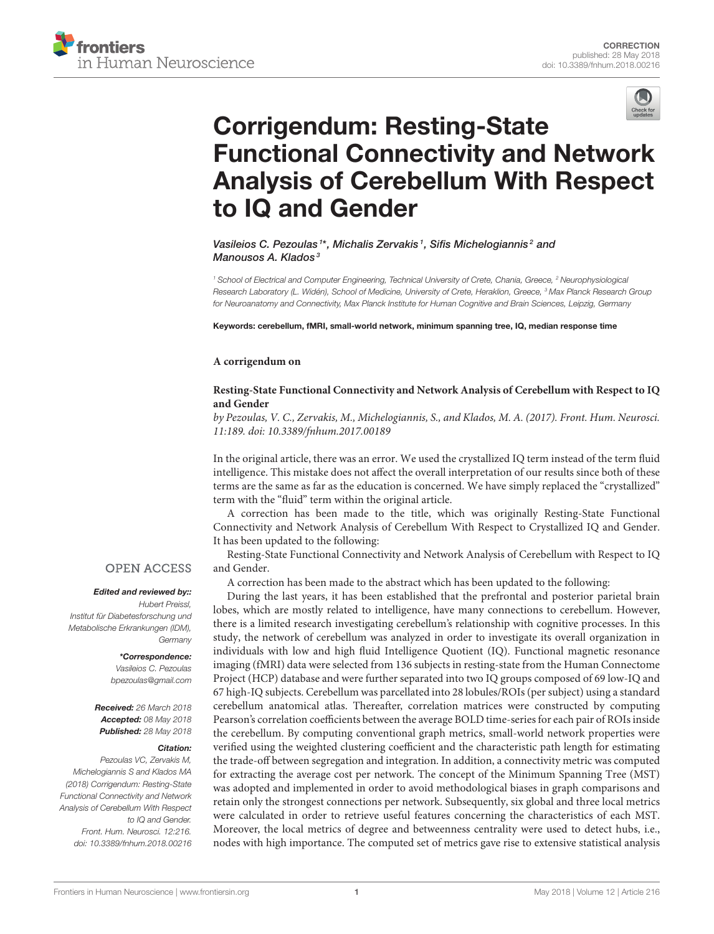



# Corrigendum: Resting-State [Functional Connectivity and Network](https://www.frontiersin.org/articles/10.3389/fnhum.2018.00216/full) Analysis of Cerebellum With Respect to IQ and Gender

## [Vasileios C. Pezoulas](http://loop.frontiersin.org/people/355233/overview)<sup>1\*</sup>, [Michalis Zervakis](http://loop.frontiersin.org/people/430019/overview)<sup>1</sup>, [Sifis Michelogiannis](http://loop.frontiersin.org/people/69042/overview)<sup>2</sup> and [Manousos A. Klados](http://loop.frontiersin.org/people/154526/overview)<sup>3</sup>

<sup>1</sup> School of Electrical and Computer Engineering, Technical University of Crete, Chania, Greece, <sup>2</sup> Neurophysiological Research Laboratory (L. Widén), School of Medicine, University of Crete, Heraklion, Greece, <sup>3</sup> Max Planck Research Group for Neuroanatomy and Connectivity, Max Planck Institute for Human Cognitive and Brain Sciences, Leipzig, Germany

Keywords: cerebellum, fMRI, small-world network, minimum spanning tree, IQ, median response time

#### **A corrigendum on**

## **[Resting-State Functional Connectivity and Network Analysis of Cerebellum with Respect to IQ](https://doi.org/10.3389/fnhum.2017.00189) and Gender**

by Pezoulas, V. C., Zervakis, M., Michelogiannis, S., and Klados, M. A. (2017). Front. Hum. Neurosci. 11:189. doi: [10.3389/fnhum.2017.00189](https://doi.org/10.3389/fnhum.2017.00189)

In the original article, there was an error. We used the crystallized IQ term instead of the term fluid intelligence. This mistake does not affect the overall interpretation of our results since both of these terms are the same as far as the education is concerned. We have simply replaced the "crystallized" term with the "fluid" term within the original article.

A correction has been made to the title, which was originally Resting-State Functional Connectivity and Network Analysis of Cerebellum With Respect to Crystallized IQ and Gender. It has been updated to the following:

Resting-State Functional Connectivity and Network Analysis of Cerebellum with Respect to IQ and Gender.

A correction has been made to the abstract which has been updated to the following:

During the last years, it has been established that the prefrontal and posterior parietal brain lobes, which are mostly related to intelligence, have many connections to cerebellum. However, there is a limited research investigating cerebellum's relationship with cognitive processes. In this study, the network of cerebellum was analyzed in order to investigate its overall organization in individuals with low and high fluid Intelligence Quotient (IQ). Functional magnetic resonance imaging (fMRI) data were selected from 136 subjects in resting-state from the Human Connectome Project (HCP) database and were further separated into two IQ groups composed of 69 low-IQ and 67 high-IQ subjects. Cerebellum was parcellated into 28 lobules/ROIs (per subject) using a standard cerebellum anatomical atlas. Thereafter, correlation matrices were constructed by computing Pearson's correlation coefficients between the average BOLD time-series for each pair of ROIs inside the cerebellum. By computing conventional graph metrics, small-world network properties were verified using the weighted clustering coefficient and the characteristic path length for estimating the trade-off between segregation and integration. In addition, a connectivity metric was computed for extracting the average cost per network. The concept of the Minimum Spanning Tree (MST) was adopted and implemented in order to avoid methodological biases in graph comparisons and retain only the strongest connections per network. Subsequently, six global and three local metrics were calculated in order to retrieve useful features concerning the characteristics of each MST. Moreover, the local metrics of degree and betweenness centrality were used to detect hubs, i.e., nodes with high importance. The computed set of metrics gave rise to extensive statistical analysis

## **OPEN ACCESS**

#### Edited and reviewed by::

Hubert Preissl, Institut für Diabetesforschung und Metabolische Erkrankungen (IDM), **Germany** 

> \*Correspondence: Vasileios C. Pezoulas [bpezoulas@gmail.com](mailto:bpezoulas@gmail.com)

Received: 26 March 2018 Accepted: 08 May 2018 Published: 28 May 2018

#### Citation:

Pezoulas VC, Zervakis M, Michelogiannis S and Klados MA (2018) Corrigendum: Resting-State Functional Connectivity and Network Analysis of Cerebellum With Respect to IQ and Gender. Front. Hum. Neurosci. 12:216. doi: [10.3389/fnhum.2018.00216](https://doi.org/10.3389/fnhum.2018.00216)